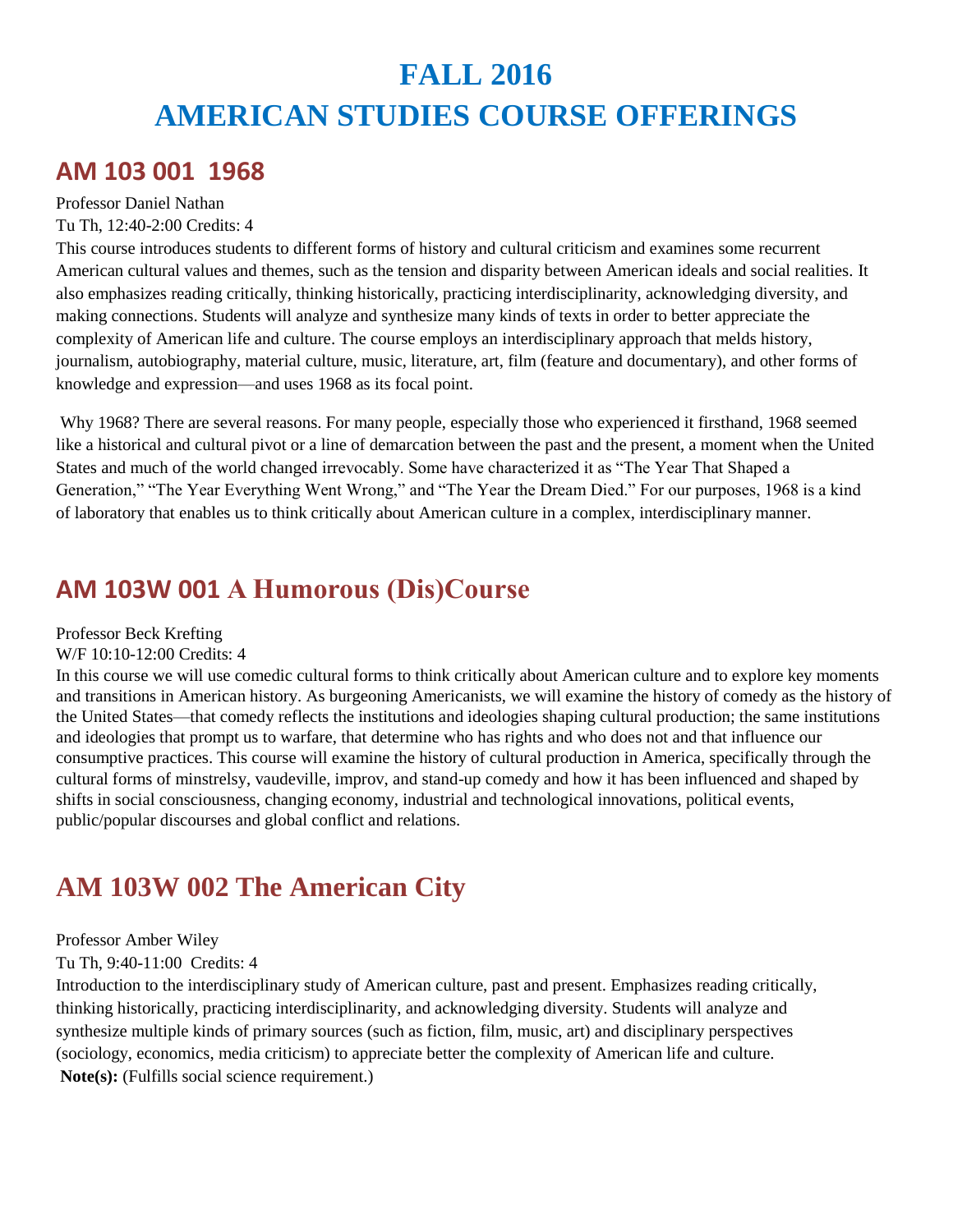# **FALL 2016 AMERICAN STUDIES COURSE OFFERINGS**

### **AM 103 001 1968**

#### Professor Daniel Nathan

Tu Th, 12:40-2:00 Credits: 4

This course introduces students to different forms of history and cultural criticism and examines some recurrent American cultural values and themes, such as the tension and disparity between American ideals and social realities. It also emphasizes reading critically, thinking historically, practicing interdisciplinarity, acknowledging diversity, and making connections. Students will analyze and synthesize many kinds of texts in order to better appreciate the complexity of American life and culture. The course employs an interdisciplinary approach that melds history, journalism, autobiography, material culture, music, literature, art, film (feature and documentary), and other forms of knowledge and expression—and uses 1968 as its focal point.

Why 1968? There are several reasons. For many people, especially those who experienced it firsthand, 1968 seemed like a historical and cultural pivot or a line of demarcation between the past and the present, a moment when the United States and much of the world changed irrevocably. Some have characterized it as "The Year That Shaped a Generation," "The Year Everything Went Wrong," and "The Year the Dream Died." For our purposes, 1968 is a kind of laboratory that enables us to think critically about American culture in a complex, interdisciplinary manner.

### **AM 103W 001 A Humorous (Dis)Course**

#### Professor Beck Krefting

W/F 10:10-12:00 Credits: 4

In this course we will use comedic cultural forms to think critically about American culture and to explore key moments and transitions in American history. As burgeoning Americanists, we will examine the history of comedy as the history of the United States—that comedy reflects the institutions and ideologies shaping cultural production; the same institutions and ideologies that prompt us to warfare, that determine who has rights and who does not and that influence our consumptive practices. This course will examine the history of cultural production in America, specifically through the cultural forms of minstrelsy, vaudeville, improv, and stand-up comedy and how it has been influenced and shaped by shifts in social consciousness, changing economy, industrial and technological innovations, political events, public/popular discourses and global conflict and relations.

### **AM 103W 002 The American City**

#### Professor Amber Wiley

Tu Th, 9:40-11:00 Credits: 4

Introduction to the interdisciplinary study of American culture, past and present. Emphasizes reading critically, thinking historically, practicing interdisciplinarity, and acknowledging diversity. Students will analyze and synthesize multiple kinds of primary sources (such as fiction, film, music, art) and disciplinary perspectives (sociology, economics, media criticism) to appreciate better the complexity of American life and culture. **Note(s):** (Fulfills social science requirement.)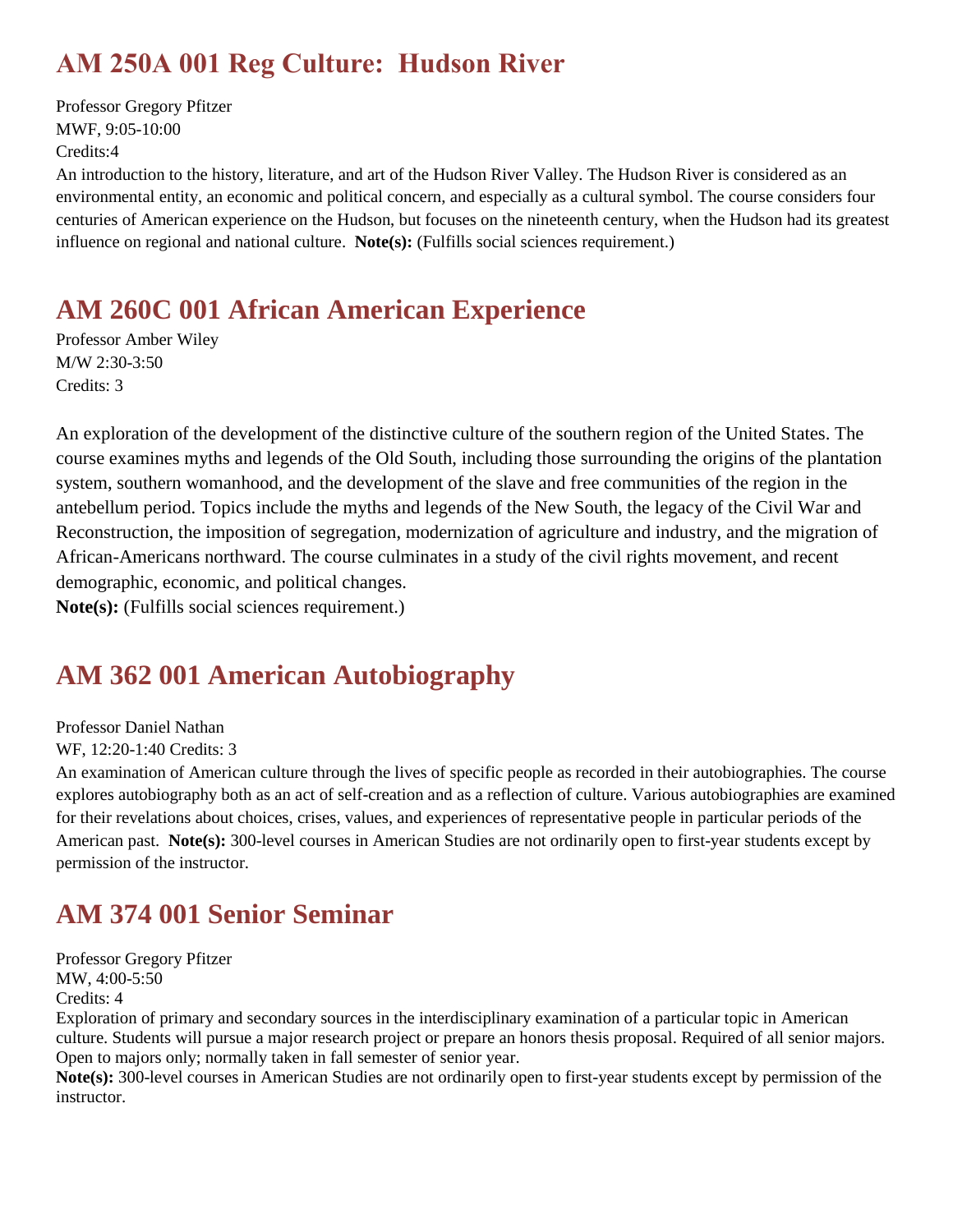## **AM 250A 001 Reg Culture: Hudson River**

Professor Gregory Pfitzer MWF, 9:05-10:00 Credits:4

An introduction to the history, literature, and art of the Hudson River Valley. The Hudson River is considered as an environmental entity, an economic and political concern, and especially as a cultural symbol. The course considers four centuries of American experience on the Hudson, but focuses on the nineteenth century, when the Hudson had its greatest influence on regional and national culture. **Note(s):** (Fulfills social sciences requirement.)

## **AM 260C 001 African American Experience**

Professor Amber Wiley M/W 2:30-3:50 Credits: 3

An exploration of the development of the distinctive culture of the southern region of the United States. The course examines myths and legends of the Old South, including those surrounding the origins of the plantation system, southern womanhood, and the development of the slave and free communities of the region in the antebellum period. Topics include the myths and legends of the New South, the legacy of the Civil War and Reconstruction, the imposition of segregation, modernization of agriculture and industry, and the migration of African-Americans northward. The course culminates in a study of the civil rights movement, and recent demographic, economic, and political changes.

**Note(s):** (Fulfills social sciences requirement.)

## **AM 362 001 American Autobiography**

Professor Daniel Nathan

WF, 12:20-1:40 Credits: 3

An examination of American culture through the lives of specific people as recorded in their autobiographies. The course explores autobiography both as an act of self-creation and as a reflection of culture. Various autobiographies are examined for their revelations about choices, crises, values, and experiences of representative people in particular periods of the American past. **Note(s):** 300-level courses in American Studies are not ordinarily open to first-year students except by permission of the instructor.

# **AM 374 001 Senior Seminar**

Professor Gregory Pfitzer MW, 4:00-5:50 Credits: 4

Exploration of primary and secondary sources in the interdisciplinary examination of a particular topic in American culture. Students will pursue a major research project or prepare an honors thesis proposal. Required of all senior majors. Open to majors only; normally taken in fall semester of senior year.

**Note(s):** 300-level courses in American Studies are not ordinarily open to first-year students except by permission of the instructor.